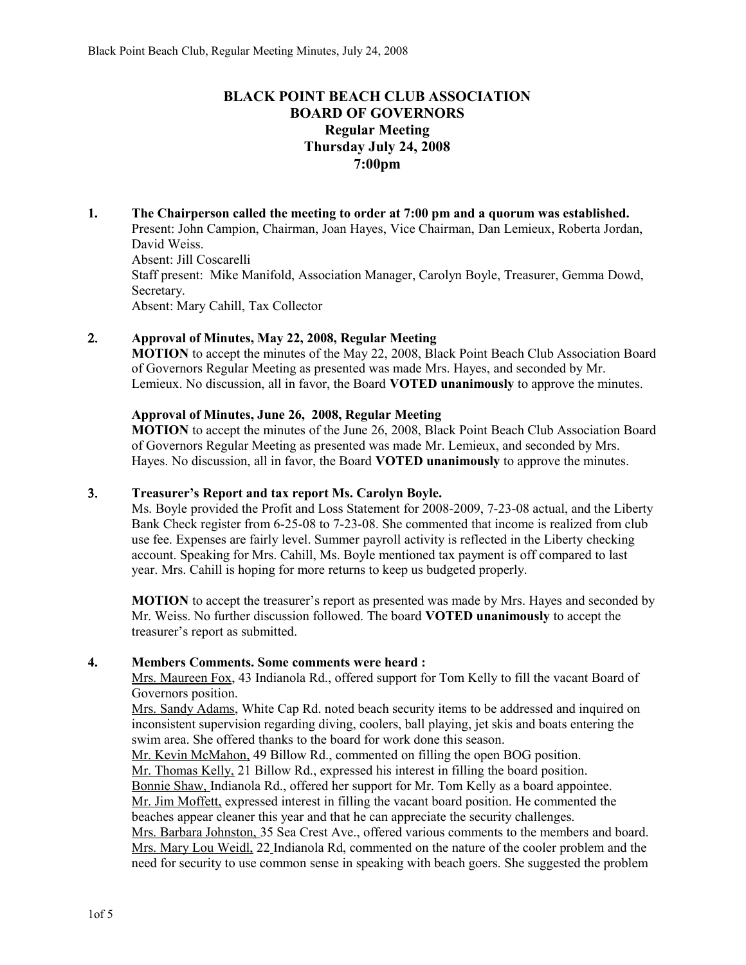# **BLACK POINT BEACH CLUB ASSOCIATION BOARD OF GOVERNORS Regular Meeting Thursday July 24, 2008 7:00pm**

**1. The Chairperson called the meeting to order at 7:00 pm and a quorum was established.**  Present: John Campion, Chairman, Joan Hayes, Vice Chairman, Dan Lemieux, Roberta Jordan, David Weiss. Absent: Jill Coscarelli Staff present: Mike Manifold, Association Manager, Carolyn Boyle, Treasurer, Gemma Dowd, Secretary. Absent: Mary Cahill, Tax Collector

### 2. **Approval of Minutes, May 22, 2008, Regular Meeting**

**MOTION** to accept the minutes of the May 22, 2008, Black Point Beach Club Association Board of Governors Regular Meeting as presented was made Mrs. Hayes, and seconded by Mr. Lemieux. No discussion, all in favor, the Board **VOTED unanimously** to approve the minutes.

### **Approval of Minutes, June 26, 2008, Regular Meeting**

**MOTION** to accept the minutes of the June 26, 2008, Black Point Beach Club Association Board of Governors Regular Meeting as presented was made Mr. Lemieux, and seconded by Mrs. Hayes. No discussion, all in favor, the Board **VOTED unanimously** to approve the minutes.

### 3. **Treasurer's Report and tax report Ms. Carolyn Boyle.**

Ms. Boyle provided the Profit and Loss Statement for 2008-2009, 7-23-08 actual, and the Liberty Bank Check register from 6-25-08 to 7-23-08. She commented that income is realized from club use fee. Expenses are fairly level. Summer payroll activity is reflected in the Liberty checking account. Speaking for Mrs. Cahill, Ms. Boyle mentioned tax payment is off compared to last year. Mrs. Cahill is hoping for more returns to keep us budgeted properly.

**MOTION** to accept the treasurer's report as presented was made by Mrs. Hayes and seconded by Mr. Weiss. No further discussion followed. The board **VOTED unanimously** to accept the treasurer's report as submitted.

### **4. Members Comments. Some comments were heard :**

Mrs. Maureen Fox, 43 Indianola Rd., offered support for Tom Kelly to fill the vacant Board of Governors position.

Mrs. Sandy Adams, White Cap Rd. noted beach security items to be addressed and inquired on inconsistent supervision regarding diving, coolers, ball playing, jet skis and boats entering the swim area. She offered thanks to the board for work done this season.

Mr. Kevin McMahon, 49 Billow Rd., commented on filling the open BOG position.

Mr. Thomas Kelly, 21 Billow Rd., expressed his interest in filling the board position.

Bonnie Shaw, Indianola Rd., offered her support for Mr. Tom Kelly as a board appointee. Mr. Jim Moffett, expressed interest in filling the vacant board position. He commented the

beaches appear cleaner this year and that he can appreciate the security challenges.

Mrs. Barbara Johnston, 35 Sea Crest Ave., offered various comments to the members and board. Mrs. Mary Lou Weidl, 22 Indianola Rd, commented on the nature of the cooler problem and the need for security to use common sense in speaking with beach goers. She suggested the problem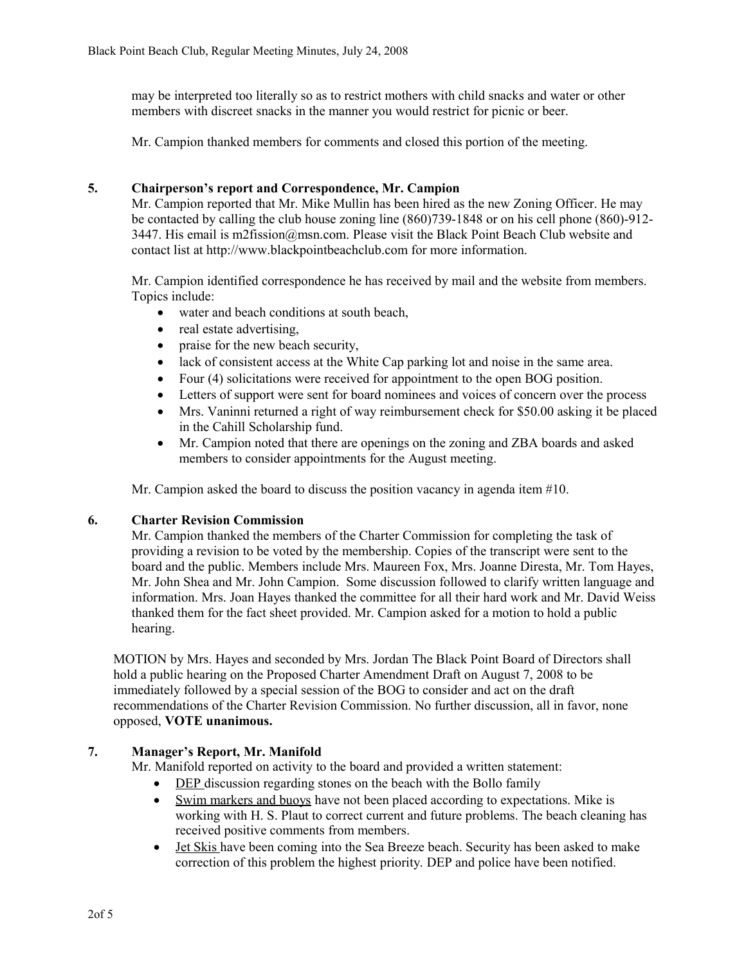may be interpreted too literally so as to restrict mothers with child snacks and water or other members with discreet snacks in the manner you would restrict for picnic or beer.

Mr. Campion thanked members for comments and closed this portion of the meeting.

### **5. Chairperson's report and Correspondence, Mr. Campion**

Mr. Campion reported that Mr. Mike Mullin has been hired as the new Zoning Officer. He may be contacted by calling the club house zoning line (860)739-1848 or on his cell phone (860)-912- 3447. His email is m2fission@msn.com. Please visit the Black Point Beach Club website and contact list at http://www.blackpointbeachclub.com for more information.

Mr. Campion identified correspondence he has received by mail and the website from members. Topics include:

- water and beach conditions at south beach,
- real estate advertising,
- praise for the new beach security,
- lack of consistent access at the White Cap parking lot and noise in the same area.
- Four (4) solicitations were received for appointment to the open BOG position.
- Letters of support were sent for board nominees and voices of concern over the process
- Mrs. Vaninni returned a right of way reimbursement check for \$50.00 asking it be placed in the Cahill Scholarship fund.
- Mr. Campion noted that there are openings on the zoning and ZBA boards and asked members to consider appointments for the August meeting.

Mr. Campion asked the board to discuss the position vacancy in agenda item #10.

### **6. Charter Revision Commission**

Mr. Campion thanked the members of the Charter Commission for completing the task of providing a revision to be voted by the membership. Copies of the transcript were sent to the board and the public. Members include Mrs. Maureen Fox, Mrs. Joanne Diresta, Mr. Tom Hayes, Mr. John Shea and Mr. John Campion. Some discussion followed to clarify written language and information. Mrs. Joan Hayes thanked the committee for all their hard work and Mr. David Weiss thanked them for the fact sheet provided. Mr. Campion asked for a motion to hold a public hearing.

MOTION by Mrs. Hayes and seconded by Mrs. Jordan The Black Point Board of Directors shall hold a public hearing on the Proposed Charter Amendment Draft on August 7, 2008 to be immediately followed by a special session of the BOG to consider and act on the draft recommendations of the Charter Revision Commission. No further discussion, all in favor, none opposed, **VOTE unanimous.**

### **7. Manager's Report, Mr. Manifold**

Mr. Manifold reported on activity to the board and provided a written statement:

- DEP discussion regarding stones on the beach with the Bollo family
- Swim markers and buoys have not been placed according to expectations. Mike is working with H. S. Plaut to correct current and future problems. The beach cleaning has received positive comments from members.
- Jet Skis have been coming into the Sea Breeze beach. Security has been asked to make correction of this problem the highest priority. DEP and police have been notified.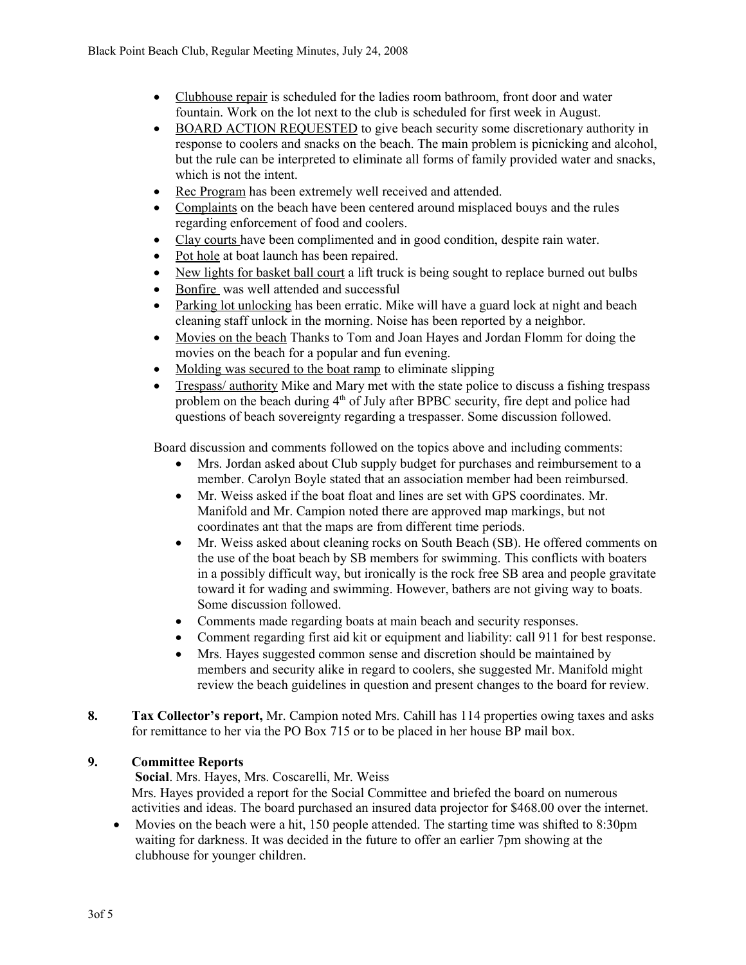- Clubhouse repair is scheduled for the ladies room bathroom, front door and water fountain. Work on the lot next to the club is scheduled for first week in August.
- BOARD ACTION REQUESTED to give beach security some discretionary authority in response to coolers and snacks on the beach. The main problem is picnicking and alcohol, but the rule can be interpreted to eliminate all forms of family provided water and snacks, which is not the intent.
- Rec Program has been extremely well received and attended.
- Complaints on the beach have been centered around misplaced bouys and the rules regarding enforcement of food and coolers.
- Clay courts have been complimented and in good condition, despite rain water.
- Pot hole at boat launch has been repaired.
- New lights for basket ball court a lift truck is being sought to replace burned out bulbs
- Bonfire was well attended and successful
- Parking lot unlocking has been erratic. Mike will have a guard lock at night and beach cleaning staff unlock in the morning. Noise has been reported by a neighbor.
- Movies on the beach Thanks to Tom and Joan Hayes and Jordan Flomm for doing the movies on the beach for a popular and fun evening.
- Molding was secured to the boat ramp to eliminate slipping
- Trespass/ authority Mike and Mary met with the state police to discuss a fishing trespass problem on the beach during 4<sup>th</sup> of July after BPBC security, fire dept and police had questions of beach sovereignty regarding a trespasser. Some discussion followed.

Board discussion and comments followed on the topics above and including comments:

- Mrs. Jordan asked about Club supply budget for purchases and reimbursement to a member. Carolyn Boyle stated that an association member had been reimbursed.
- Mr. Weiss asked if the boat float and lines are set with GPS coordinates. Mr. Manifold and Mr. Campion noted there are approved map markings, but not coordinates ant that the maps are from different time periods.
- Mr. Weiss asked about cleaning rocks on South Beach (SB). He offered comments on the use of the boat beach by SB members for swimming. This conflicts with boaters in a possibly difficult way, but ironically is the rock free SB area and people gravitate toward it for wading and swimming. However, bathers are not giving way to boats. Some discussion followed.
- Comments made regarding boats at main beach and security responses.
- Comment regarding first aid kit or equipment and liability: call 911 for best response.
- Mrs. Hayes suggested common sense and discretion should be maintained by members and security alike in regard to coolers, she suggested Mr. Manifold might review the beach guidelines in question and present changes to the board for review.
- **8. Tax Collector's report,** Mr. Campion noted Mrs. Cahill has 114 properties owing taxes and asks for remittance to her via the PO Box 715 or to be placed in her house BP mail box.

# **9. Committee Reports**

 **Social**. Mrs. Hayes, Mrs. Coscarelli, Mr. Weiss Mrs. Hayes provided a report for the Social Committee and briefed the board on numerous activities and ideas. The board purchased an insured data projector for \$468.00 over the internet.

 Movies on the beach were a hit, 150 people attended. The starting time was shifted to 8:30pm waiting for darkness. It was decided in the future to offer an earlier 7pm showing at the clubhouse for younger children.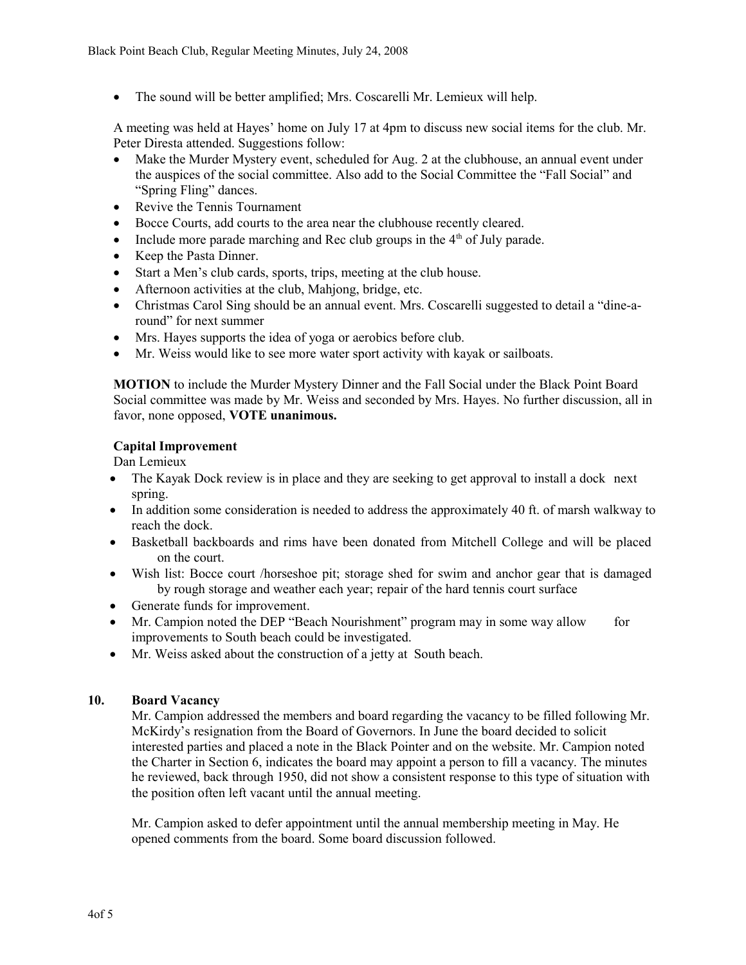• The sound will be better amplified; Mrs. Coscarelli Mr. Lemieux will help.

A meeting was held at Hayes' home on July 17 at 4pm to discuss new social items for the club. Mr. Peter Diresta attended. Suggestions follow:

- Make the Murder Mystery event, scheduled for Aug. 2 at the clubhouse, an annual event under the auspices of the social committee. Also add to the Social Committee the "Fall Social" and "Spring Fling" dances.
- Revive the Tennis Tournament
- Bocce Courts, add courts to the area near the clubhouse recently cleared.
- Include more parade marching and Rec club groups in the  $4<sup>th</sup>$  of July parade.
- Keep the Pasta Dinner.
- Start a Men's club cards, sports, trips, meeting at the club house.
- Afternoon activities at the club, Mahjong, bridge, etc.
- Christmas Carol Sing should be an annual event. Mrs. Coscarelli suggested to detail a "dine-around" for next summer
- Mrs. Hayes supports the idea of yoga or aerobics before club.
- Mr. Weiss would like to see more water sport activity with kayak or sailboats.

**MOTION** to include the Murder Mystery Dinner and the Fall Social under the Black Point Board Social committee was made by Mr. Weiss and seconded by Mrs. Hayes. No further discussion, all in favor, none opposed, **VOTE unanimous.**

# **Capital Improvement**

Dan Lemieux

- The Kayak Dock review is in place and they are seeking to get approval to install a dock next spring.
- In addition some consideration is needed to address the approximately 40 ft. of marsh walkway to reach the dock.
- Basketball backboards and rims have been donated from Mitchell College and will be placed on the court.
- Wish list: Bocce court /horseshoe pit; storage shed for swim and anchor gear that is damaged by rough storage and weather each year; repair of the hard tennis court surface
- Generate funds for improvement.
- Mr. Campion noted the DEP "Beach Nourishment" program may in some way allow for improvements to South beach could be investigated.
- Mr. Weiss asked about the construction of a jetty at South beach.

# **10. Board Vacancy**

Mr. Campion addressed the members and board regarding the vacancy to be filled following Mr. McKirdy's resignation from the Board of Governors. In June the board decided to solicit interested parties and placed a note in the Black Pointer and on the website. Mr. Campion noted the Charter in Section 6, indicates the board may appoint a person to fill a vacancy. The minutes he reviewed, back through 1950, did not show a consistent response to this type of situation with the position often left vacant until the annual meeting.

Mr. Campion asked to defer appointment until the annual membership meeting in May. He opened comments from the board. Some board discussion followed.